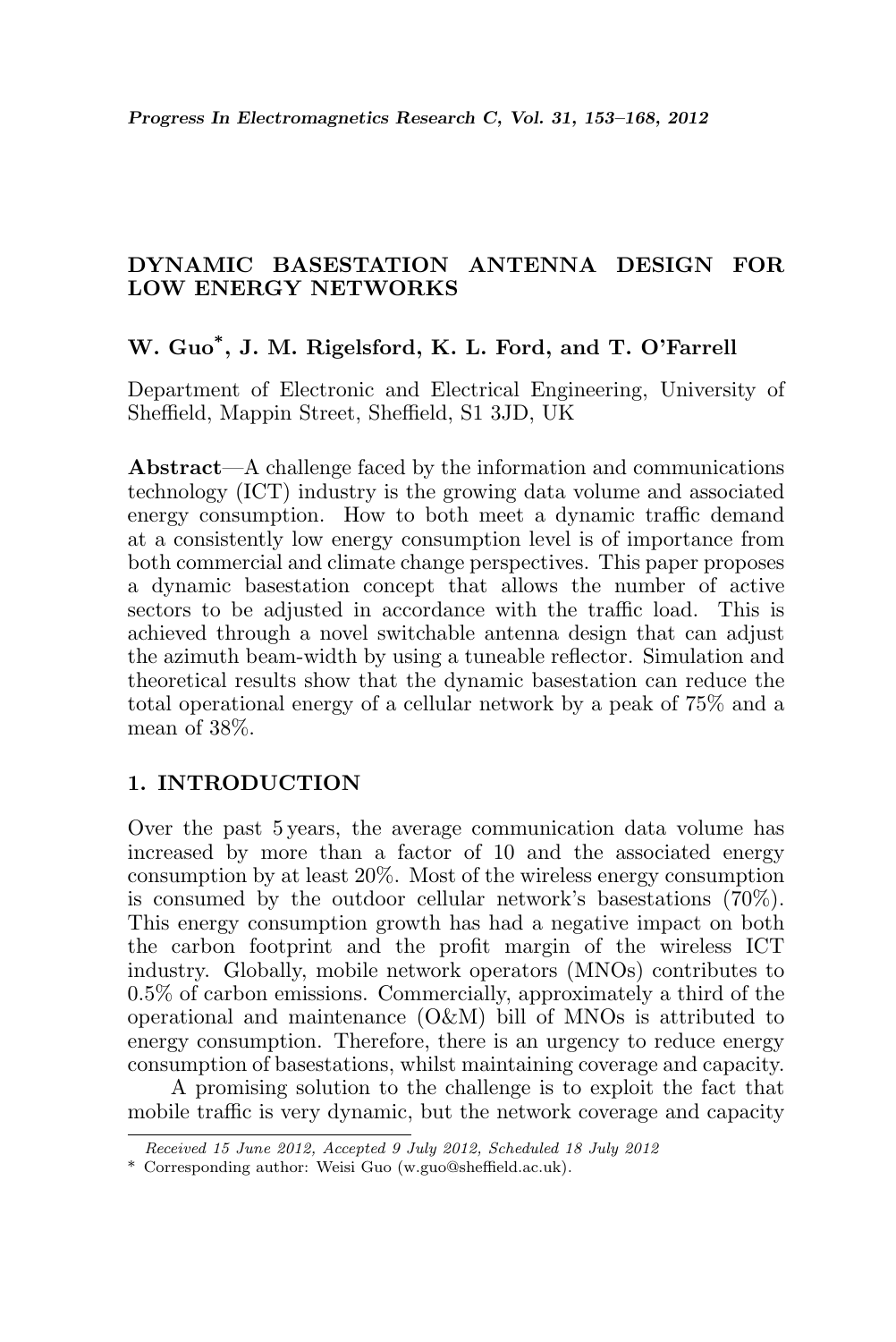## DYNAMIC BASESTATION ANTENNA DESIGN FOR LOW ENERGY NETWORKS

## W. Guo\* , J. M. Rigelsford, K. L. Ford, and T. O'Farrell

Department of Electronic and Electrical Engineering, University of Sheffield, Mappin Street, Sheffield, S1 3JD, UK

Abstract—A challenge faced by the information and communications technology (ICT) industry is the growing data volume and associated energy consumption. How to both meet a dynamic traffic demand at a consistently low energy consumption level is of importance from both commercial and climate change perspectives. This paper proposes a dynamic basestation concept that allows the number of active sectors to be adjusted in accordance with the traffic load. This is achieved through a novel switchable antenna design that can adjust the azimuth beam-width by using a tuneable reflector. Simulation and theoretical results show that the dynamic basestation can reduce the total operational energy of a cellular network by a peak of 75% and a mean of 38%.

## 1. INTRODUCTION

Over the past 5 years, the average communication data volume has increased by more than a factor of 10 and the associated energy consumption by at least 20%. Most of the wireless energy consumption is consumed by the outdoor cellular network's basestations (70%). This energy consumption growth has had a negative impact on both the carbon footprint and the profit margin of the wireless ICT industry. Globally, mobile network operators (MNOs) contributes to 0.5% of carbon emissions. Commercially, approximately a third of the operational and maintenance (O&M) bill of MNOs is attributed to energy consumption. Therefore, there is an urgency to reduce energy consumption of basestations, whilst maintaining coverage and capacity.

A promising solution to the challenge is to exploit the fact that mobile traffic is very dynamic, but the network coverage and capacity

Received 15 June 2012, Accepted 9 July 2012, Scheduled 18 July 2012

<sup>\*</sup> Corresponding author: Weisi Guo (w.guo@sheffield.ac.uk).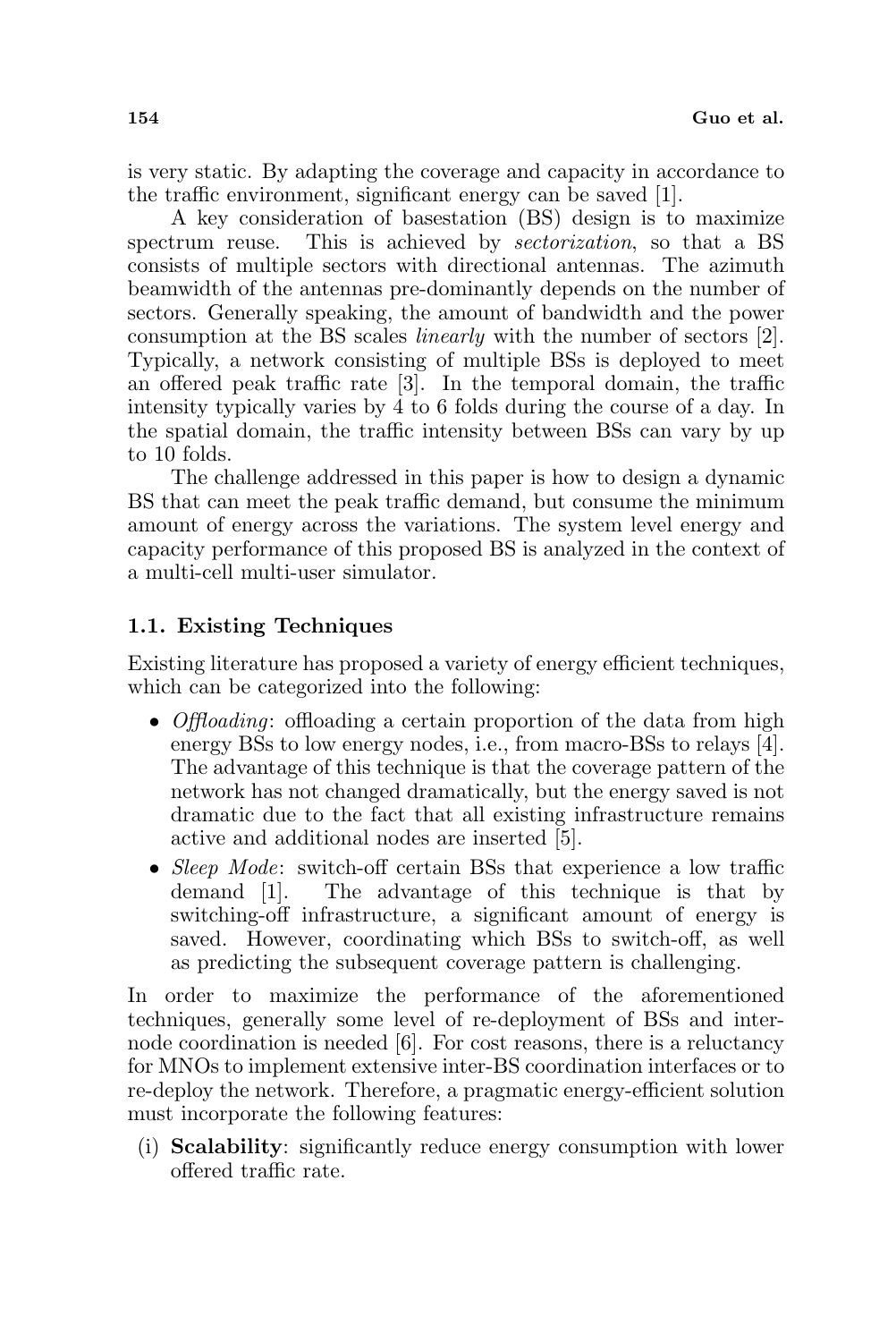is very static. By adapting the coverage and capacity in accordance to the traffic environment, significant energy can be saved [1].

A key consideration of basestation (BS) design is to maximize spectrum reuse. This is achieved by *sectorization*, so that a BS consists of multiple sectors with directional antennas. The azimuth beamwidth of the antennas pre-dominantly depends on the number of sectors. Generally speaking, the amount of bandwidth and the power consumption at the BS scales linearly with the number of sectors [2]. Typically, a network consisting of multiple BSs is deployed to meet an offered peak traffic rate [3]. In the temporal domain, the traffic intensity typically varies by 4 to 6 folds during the course of a day. In the spatial domain, the traffic intensity between BSs can vary by up to 10 folds.

The challenge addressed in this paper is how to design a dynamic BS that can meet the peak traffic demand, but consume the minimum amount of energy across the variations. The system level energy and capacity performance of this proposed BS is analyzed in the context of a multi-cell multi-user simulator.

### 1.1. Existing Techniques

Existing literature has proposed a variety of energy efficient techniques, which can be categorized into the following:

- *Offloading*: offloading a certain proportion of the data from high energy BSs to low energy nodes, i.e., from macro-BSs to relays [4]. The advantage of this technique is that the coverage pattern of the network has not changed dramatically, but the energy saved is not dramatic due to the fact that all existing infrastructure remains active and additional nodes are inserted [5].
- *Sleep Mode:* switch-off certain BSs that experience a low traffic demand [1]. The advantage of this technique is that by switching-off infrastructure, a significant amount of energy is saved. However, coordinating which BSs to switch-off, as well as predicting the subsequent coverage pattern is challenging.

In order to maximize the performance of the aforementioned techniques, generally some level of re-deployment of BSs and internode coordination is needed [6]. For cost reasons, there is a reluctancy for MNOs to implement extensive inter-BS coordination interfaces or to re-deploy the network. Therefore, a pragmatic energy-efficient solution must incorporate the following features:

(i) Scalability: significantly reduce energy consumption with lower offered traffic rate.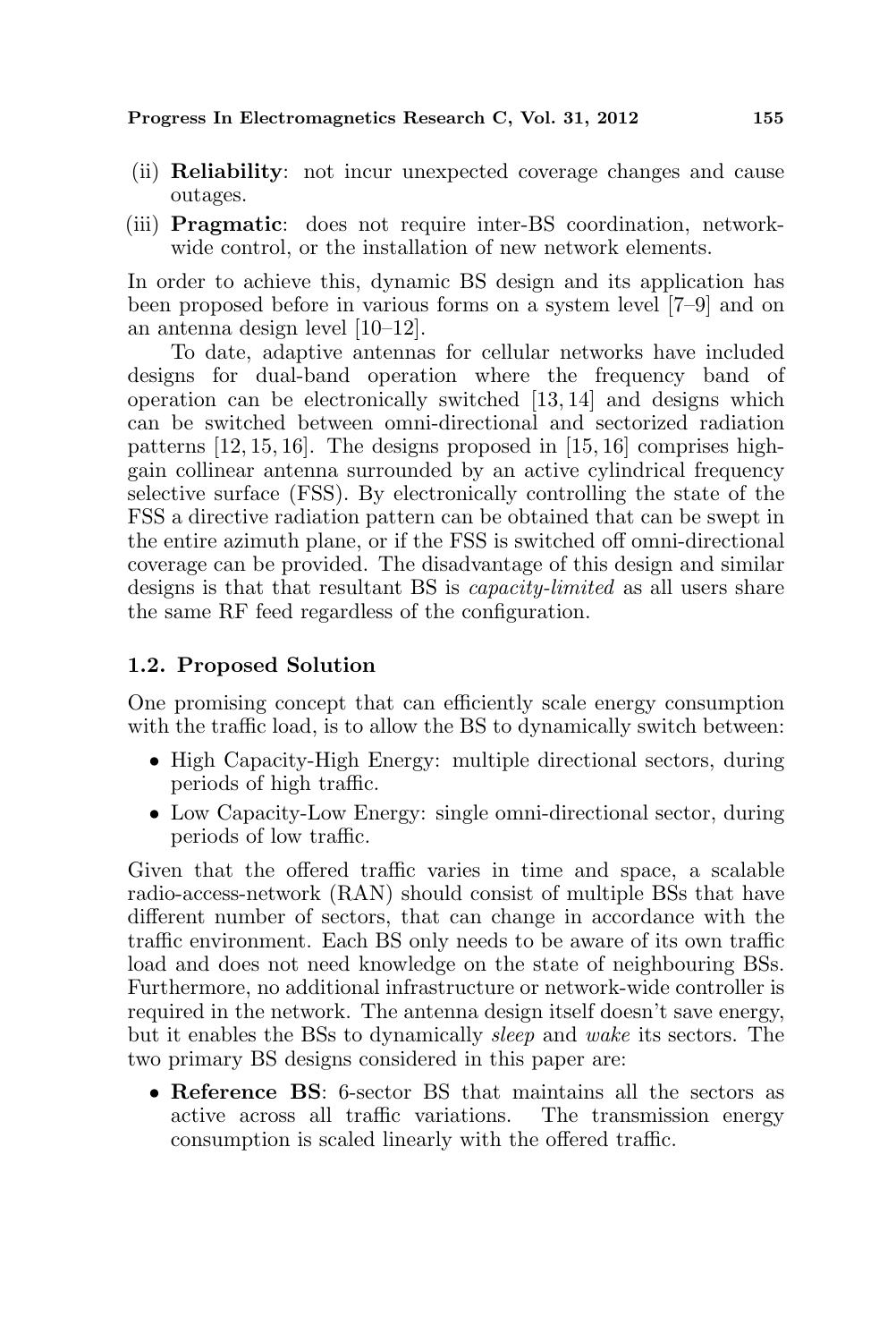Progress In Electromagnetics Research C, Vol. 31, 2012 155

- (ii) Reliability: not incur unexpected coverage changes and cause outages.
- (iii) Pragmatic: does not require inter-BS coordination, networkwide control, or the installation of new network elements.

In order to achieve this, dynamic BS design and its application has been proposed before in various forms on a system level [7–9] and on an antenna design level [10–12].

To date, adaptive antennas for cellular networks have included designs for dual-band operation where the frequency band of operation can be electronically switched [13, 14] and designs which can be switched between omni-directional and sectorized radiation patterns [12, 15, 16]. The designs proposed in [15, 16] comprises highgain collinear antenna surrounded by an active cylindrical frequency selective surface (FSS). By electronically controlling the state of the FSS a directive radiation pattern can be obtained that can be swept in the entire azimuth plane, or if the FSS is switched off omni-directional coverage can be provided. The disadvantage of this design and similar designs is that that resultant BS is capacity-limited as all users share the same RF feed regardless of the configuration.

## 1.2. Proposed Solution

One promising concept that can efficiently scale energy consumption with the traffic load, is to allow the BS to dynamically switch between:

- High Capacity-High Energy: multiple directional sectors, during periods of high traffic.
- Low Capacity-Low Energy: single omni-directional sector, during periods of low traffic.

Given that the offered traffic varies in time and space, a scalable radio-access-network (RAN) should consist of multiple BSs that have different number of sectors, that can change in accordance with the traffic environment. Each BS only needs to be aware of its own traffic load and does not need knowledge on the state of neighbouring BSs. Furthermore, no additional infrastructure or network-wide controller is required in the network. The antenna design itself doesn't save energy, but it enables the BSs to dynamically sleep and wake its sectors. The two primary BS designs considered in this paper are:

• Reference BS: 6-sector BS that maintains all the sectors as active across all traffic variations. The transmission energy consumption is scaled linearly with the offered traffic.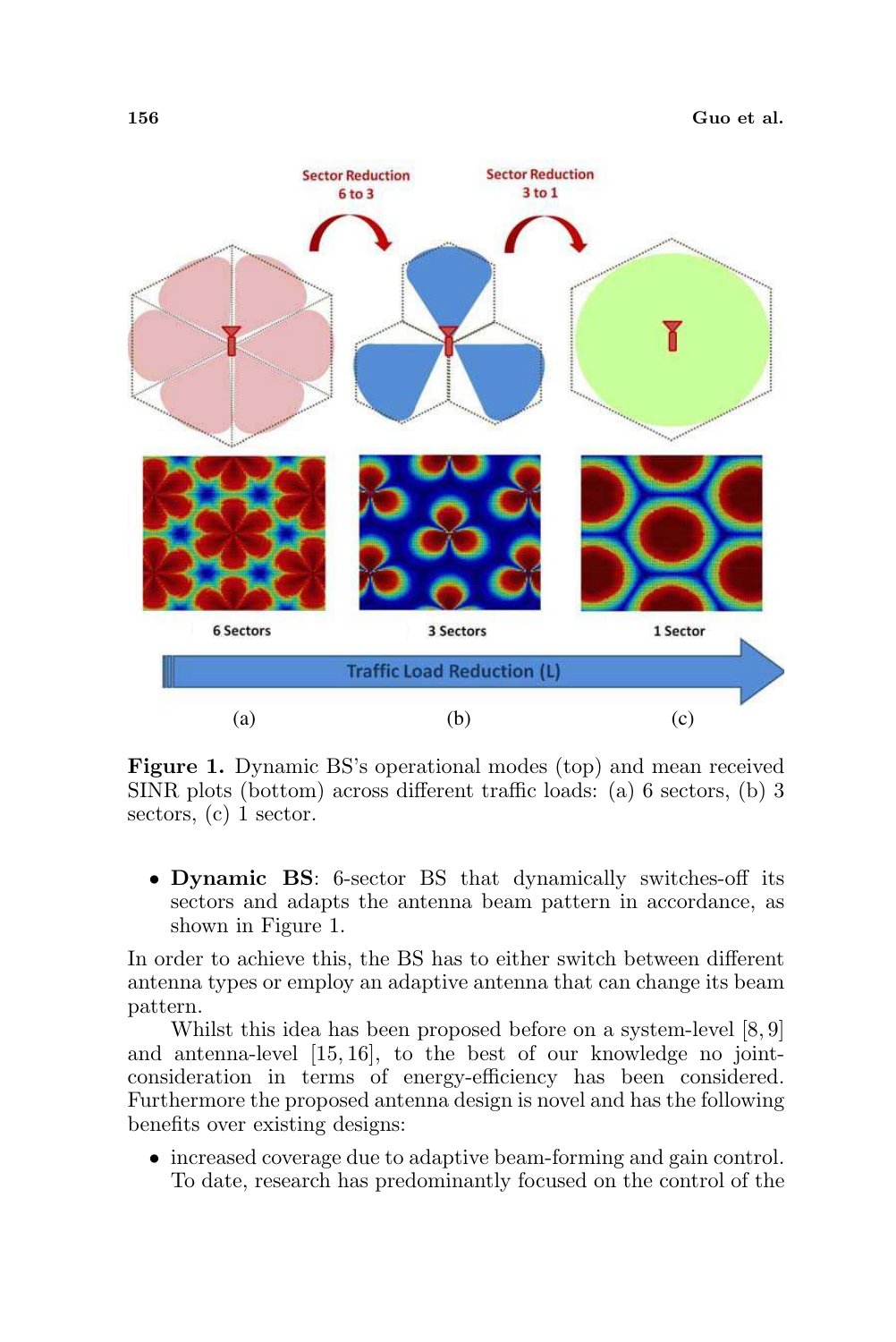

Figure 1. Dynamic BS's operational modes (top) and mean received SINR plots (bottom) across different traffic loads: (a) 6 sectors, (b) 3 sectors, (c) 1 sector.

• Dynamic BS: 6-sector BS that dynamically switches-off its sectors and adapts the antenna beam pattern in accordance, as shown in Figure 1.

In order to achieve this, the BS has to either switch between different antenna types or employ an adaptive antenna that can change its beam pattern.

Whilst this idea has been proposed before on a system-level [8, 9] and antenna-level [15, 16], to the best of our knowledge no jointconsideration in terms of energy-efficiency has been considered. Furthermore the proposed antenna design is novel and has the following benefits over existing designs:

• increased coverage due to adaptive beam-forming and gain control. To date, research has predominantly focused on the control of the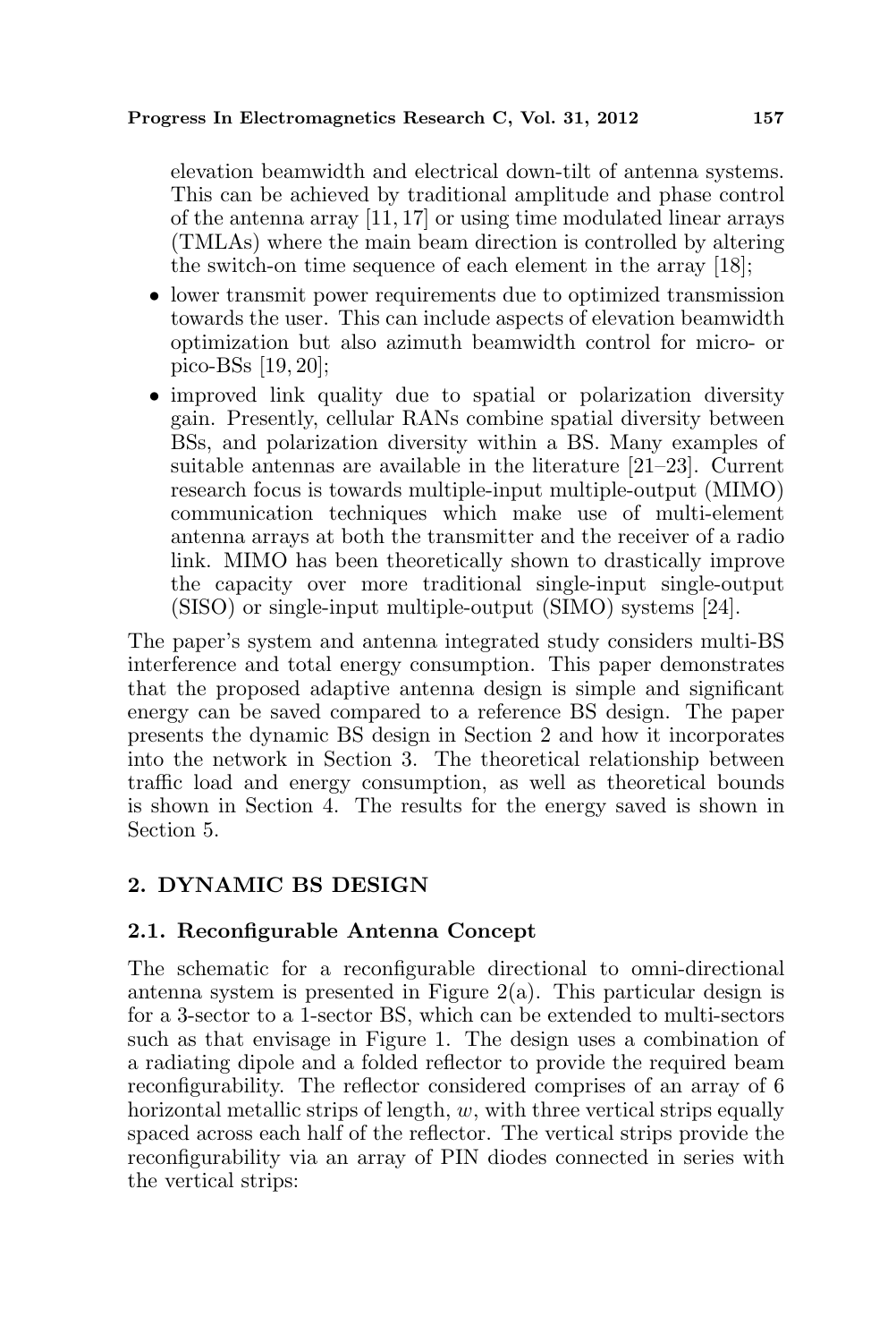elevation beamwidth and electrical down-tilt of antenna systems. This can be achieved by traditional amplitude and phase control of the antenna array [11, 17] or using time modulated linear arrays (TMLAs) where the main beam direction is controlled by altering the switch-on time sequence of each element in the array [18];

- lower transmit power requirements due to optimized transmission towards the user. This can include aspects of elevation beamwidth optimization but also azimuth beamwidth control for micro- or pico-BSs [19, 20];
- improved link quality due to spatial or polarization diversity gain. Presently, cellular RANs combine spatial diversity between BSs, and polarization diversity within a BS. Many examples of suitable antennas are available in the literature [21–23]. Current research focus is towards multiple-input multiple-output (MIMO) communication techniques which make use of multi-element antenna arrays at both the transmitter and the receiver of a radio link. MIMO has been theoretically shown to drastically improve the capacity over more traditional single-input single-output (SISO) or single-input multiple-output (SIMO) systems [24].

The paper's system and antenna integrated study considers multi-BS interference and total energy consumption. This paper demonstrates that the proposed adaptive antenna design is simple and significant energy can be saved compared to a reference BS design. The paper presents the dynamic BS design in Section 2 and how it incorporates into the network in Section 3. The theoretical relationship between traffic load and energy consumption, as well as theoretical bounds is shown in Section 4. The results for the energy saved is shown in Section 5.

# 2. DYNAMIC BS DESIGN

## 2.1. Reconfigurable Antenna Concept

The schematic for a reconfigurable directional to omni-directional antenna system is presented in Figure 2(a). This particular design is for a 3-sector to a 1-sector BS, which can be extended to multi-sectors such as that envisage in Figure 1. The design uses a combination of a radiating dipole and a folded reflector to provide the required beam reconfigurability. The reflector considered comprises of an array of 6 horizontal metallic strips of length,  $w$ , with three vertical strips equally spaced across each half of the reflector. The vertical strips provide the reconfigurability via an array of PIN diodes connected in series with the vertical strips: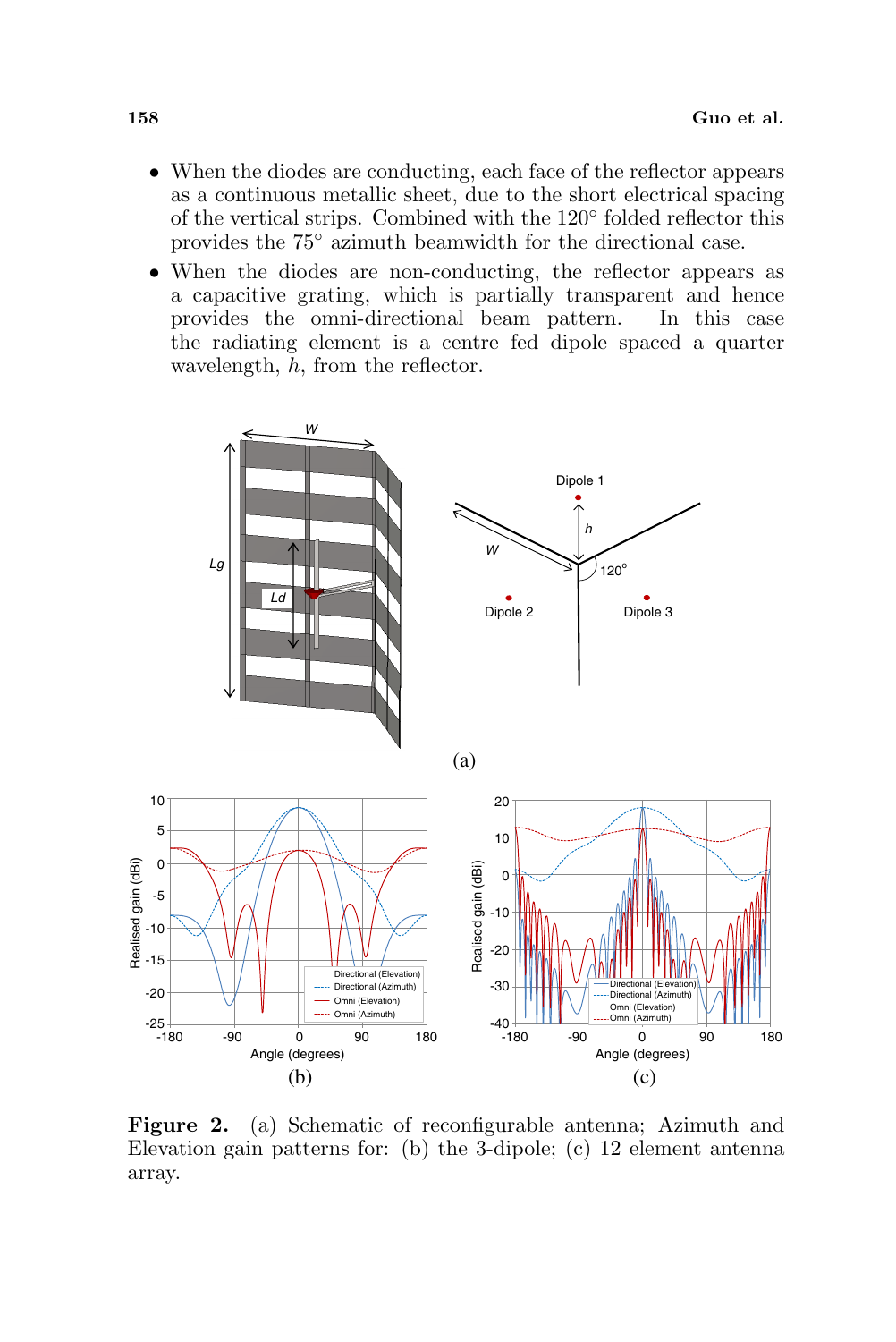- When the diodes are conducting, each face of the reflector appears as a continuous metallic sheet, due to the short electrical spacing of the vertical strips. Combined with the 120◦ folded reflector this provides the 75◦ azimuth beamwidth for the directional case.
- When the diodes are non-conducting, the reflector appears as a capacitive grating, which is partially transparent and hence provides the omni-directional beam pattern. In this case the radiating element is a centre fed dipole spaced a quarter wavelength,  $h$ , from the reflector.



Figure 2. (a) Schematic of reconfigurable antenna; Azimuth and Elevation gain patterns for: (b) the 3-dipole; (c) 12 element antenna array.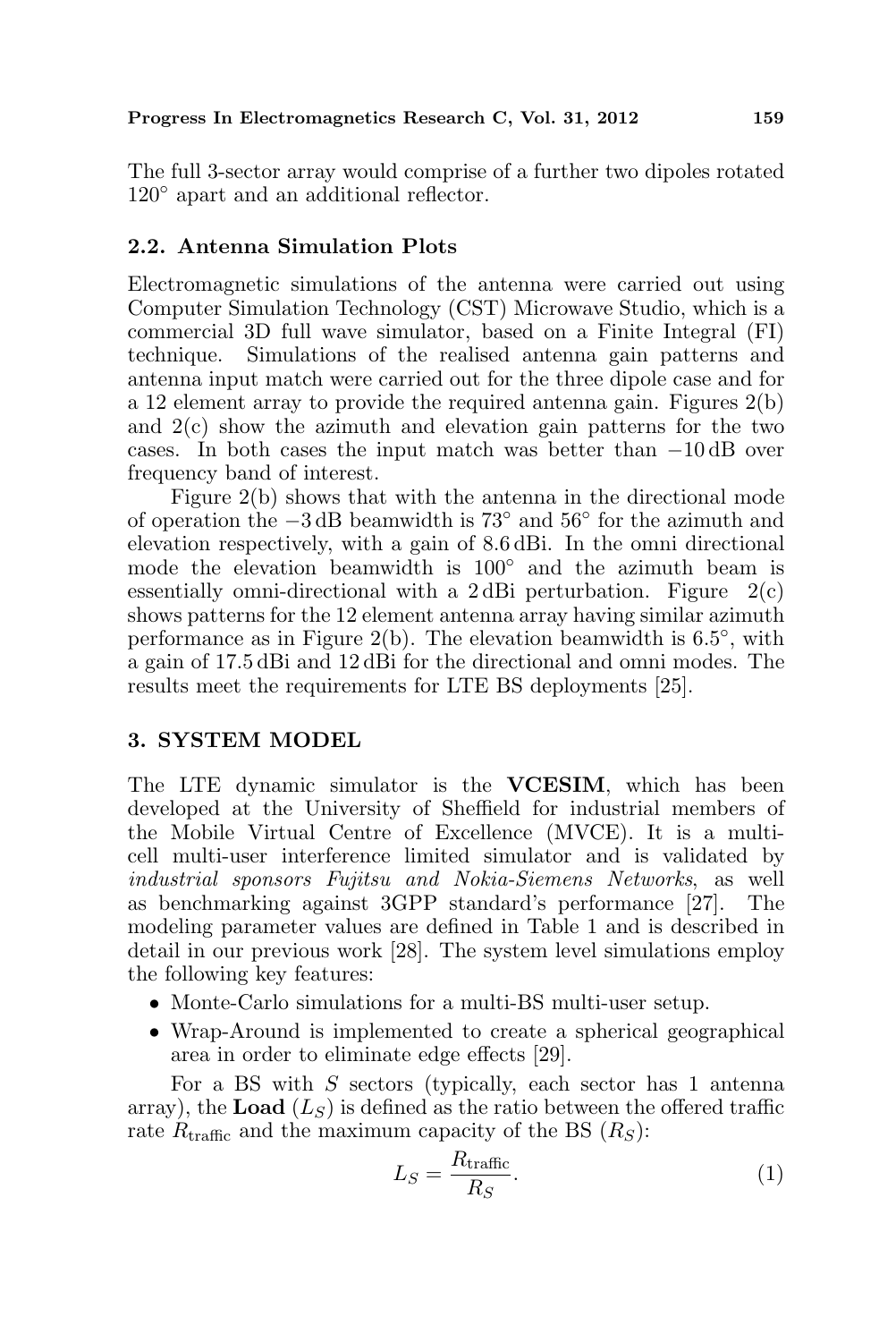The full 3-sector array would comprise of a further two dipoles rotated 120◦ apart and an additional reflector.

### 2.2. Antenna Simulation Plots

Electromagnetic simulations of the antenna were carried out using Computer Simulation Technology (CST) Microwave Studio, which is a commercial 3D full wave simulator, based on a Finite Integral (FI) technique. Simulations of the realised antenna gain patterns and antenna input match were carried out for the three dipole case and for a 12 element array to provide the required antenna gain. Figures  $2(b)$ and  $2(c)$  show the azimuth and elevation gain patterns for the two cases. In both cases the input match was better than −10 dB over frequency band of interest.

Figure 2(b) shows that with the antenna in the directional mode of operation the −3 dB beamwidth is 73◦ and 56◦ for the azimuth and elevation respectively, with a gain of 8.6 dBi. In the omni directional mode the elevation beamwidth is 100◦ and the azimuth beam is essentially omni-directional with a 2 dBi perturbation. Figure  $2(c)$ shows patterns for the 12 element antenna array having similar azimuth performance as in Figure 2(b). The elevation beamwidth is 6.5<sup>°</sup>, with a gain of 17.5 dBi and 12 dBi for the directional and omni modes. The results meet the requirements for LTE BS deployments [25].

#### 3. SYSTEM MODEL

The LTE dynamic simulator is the VCESIM, which has been developed at the University of Sheffield for industrial members of the Mobile Virtual Centre of Excellence (MVCE). It is a multicell multi-user interference limited simulator and is validated by industrial sponsors Fujitsu and Nokia-Siemens Networks, as well as benchmarking against 3GPP standard's performance [27]. The modeling parameter values are defined in Table 1 and is described in detail in our previous work [28]. The system level simulations employ the following key features:

- Monte-Carlo simulations for a multi-BS multi-user setup.
- Wrap-Around is implemented to create a spherical geographical area in order to eliminate edge effects [29].

For a BS with S sectors (typically, each sector has 1 antenna array), the **Load**  $(L<sub>S</sub>)$  is defined as the ratio between the offered traffic rate  $R_{\text{traffic}}$  and the maximum capacity of the BS  $(R<sub>S</sub>)$ :

$$
L_S = \frac{R_{\text{traffic}}}{R_S}.\tag{1}
$$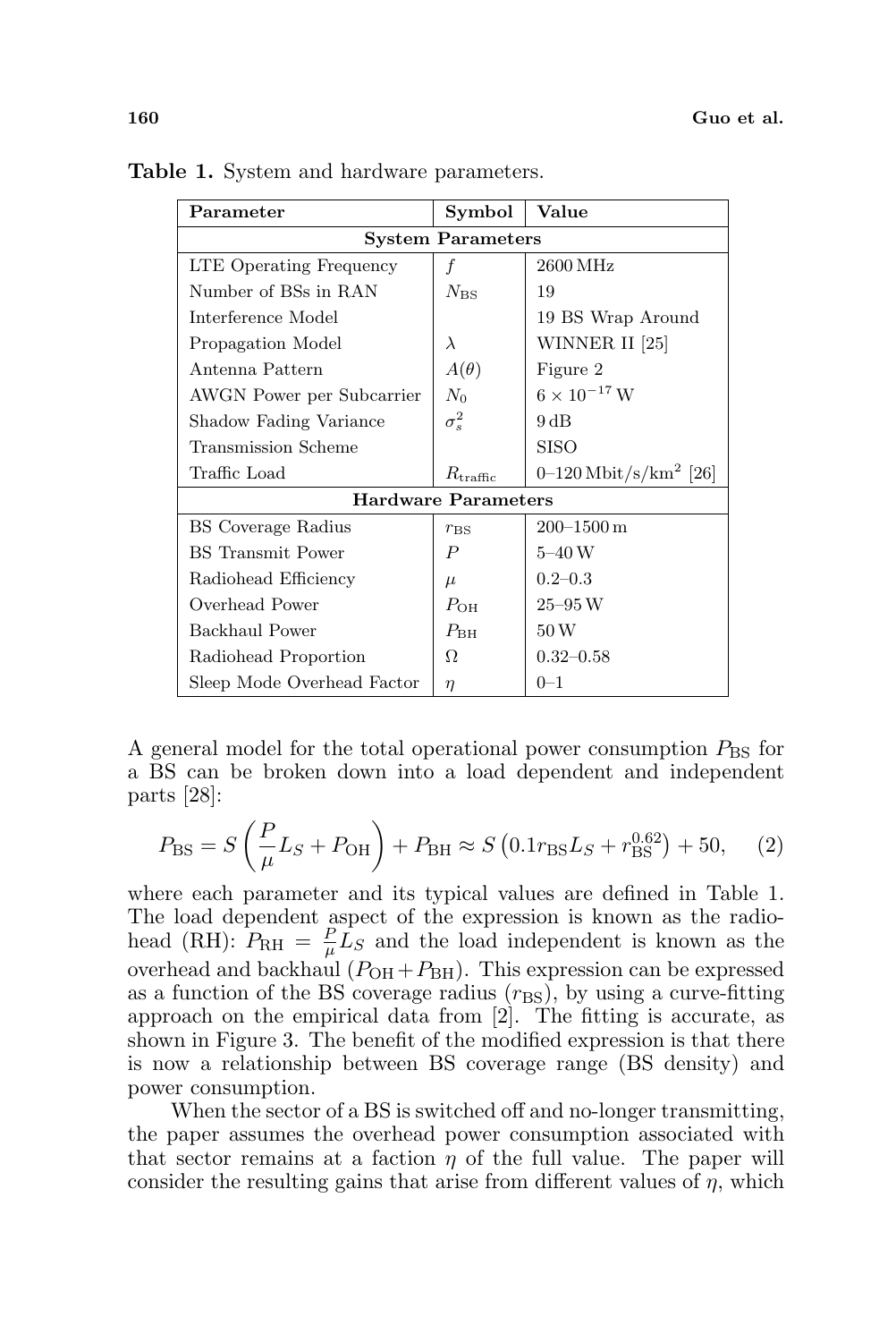| Parameter                  | Symbol            | Value                             |  |  |
|----------------------------|-------------------|-----------------------------------|--|--|
| <b>System Parameters</b>   |                   |                                   |  |  |
| LTE Operating Frequency    | f                 | 2600 MHz                          |  |  |
| Number of BSs in RAN       | $N_{\rm BS}$      | 19                                |  |  |
| Interference Model         |                   | 19 BS Wrap Around                 |  |  |
| Propagation Model          | $\lambda$         | WINNER II [25]                    |  |  |
| Antenna Pattern            | $A(\theta)$       | Figure 2                          |  |  |
| AWGN Power per Subcarrier  | $N_0$             | $6 \times 10^{-17}$ W             |  |  |
| Shadow Fading Variance     | $\sigma_s^2$      | $9\,\mathrm{dB}$                  |  |  |
| Transmission Scheme        |                   | SISO                              |  |  |
| Traffic Load               | $R_{\rm traffic}$ | 0–120 Mbit/s/km <sup>2</sup> [26] |  |  |
| <b>Hardware Parameters</b> |                   |                                   |  |  |
| BS Coverage Radius         | $r_{\rm BS}$      | $200 - 1500$ m                    |  |  |
| <b>BS</b> Transmit Power   | $\boldsymbol{P}$  | $5 - 40$ W                        |  |  |
| Radiohead Efficiency       | $\mu$             | $0.2 - 0.3$                       |  |  |
| Overhead Power             | $P_{\rm OH}$      | $25 - 95$ W                       |  |  |
| Backhaul Power             | $P_{\rm BH}$      | 50W                               |  |  |
| Radiohead Proportion       | Ω                 | $0.32 - 0.58$                     |  |  |
| Sleep Mode Overhead Factor | $\eta$            | $_{0-1}$                          |  |  |

Table 1. System and hardware parameters.

A general model for the total operational power consumption  $P_{\text{BS}}$  for a BS can be broken down into a load dependent and independent parts [28]:

$$
P_{\rm BS} = S\left(\frac{P}{\mu}L_S + P_{\rm OH}\right) + P_{\rm BH} \approx S\left(0.1r_{\rm BS}L_S + r_{\rm BS}^{0.62}\right) + 50,\tag{2}
$$

where each parameter and its typical values are defined in Table 1. The load dependent aspect of the expression is known as the radiohead (RH):  $P_{\text{RH}} = \frac{F}{\mu}$  $\frac{P}{\mu}L_S$  and the load independent is known as the overhead and backhaul  $(P<sub>OH</sub> + P<sub>BH</sub>)$ . This expression can be expressed as a function of the BS coverage radius  $(r_{\text{BS}})$ , by using a curve-fitting approach on the empirical data from [2]. The fitting is accurate, as shown in Figure 3. The benefit of the modified expression is that there is now a relationship between BS coverage range (BS density) and power consumption.

When the sector of a BS is switched off and no-longer transmitting, the paper assumes the overhead power consumption associated with that sector remains at a faction  $\eta$  of the full value. The paper will consider the resulting gains that arise from different values of  $\eta$ , which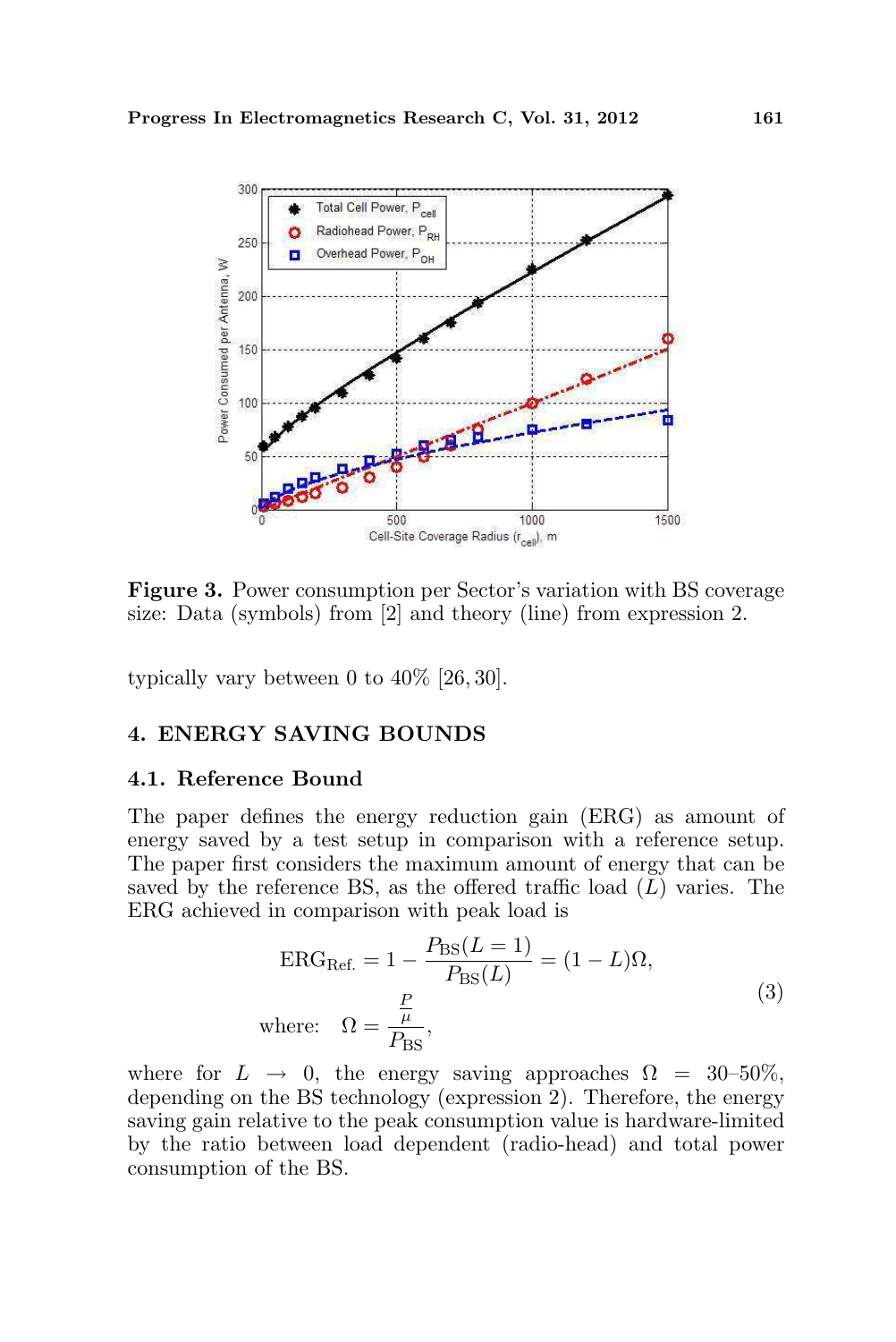

Figure 3. Power consumption per Sector's variation with BS coverage size: Data (symbols) from [2] and theory (line) from expression 2.

typically vary between 0 to 40% [26, 30].

#### 4. ENERGY SAVING BOUNDS

#### 4.1. Reference Bound

The paper defines the energy reduction gain (ERG) as amount of energy saved by a test setup in comparison with a reference setup. The paper first considers the maximum amount of energy that can be saved by the reference BS, as the offered traffic load  $(L)$  varies. The ERG achieved in comparison with peak load is

$$
ERG_{Ref.} = 1 - \frac{P_{BS}(L=1)}{P_{BS}(L)} = (1 - L)\Omega,
$$
  
where: 
$$
\Omega = \frac{\frac{P}{\mu}}{P_{BS}},
$$
 (3)

where for  $L \rightarrow 0$ , the energy saving approaches  $\Omega = 30-50\%$ , depending on the BS technology (expression 2). Therefore, the energy saving gain relative to the peak consumption value is hardware-limited by the ratio between load dependent (radio-head) and total power consumption of the BS.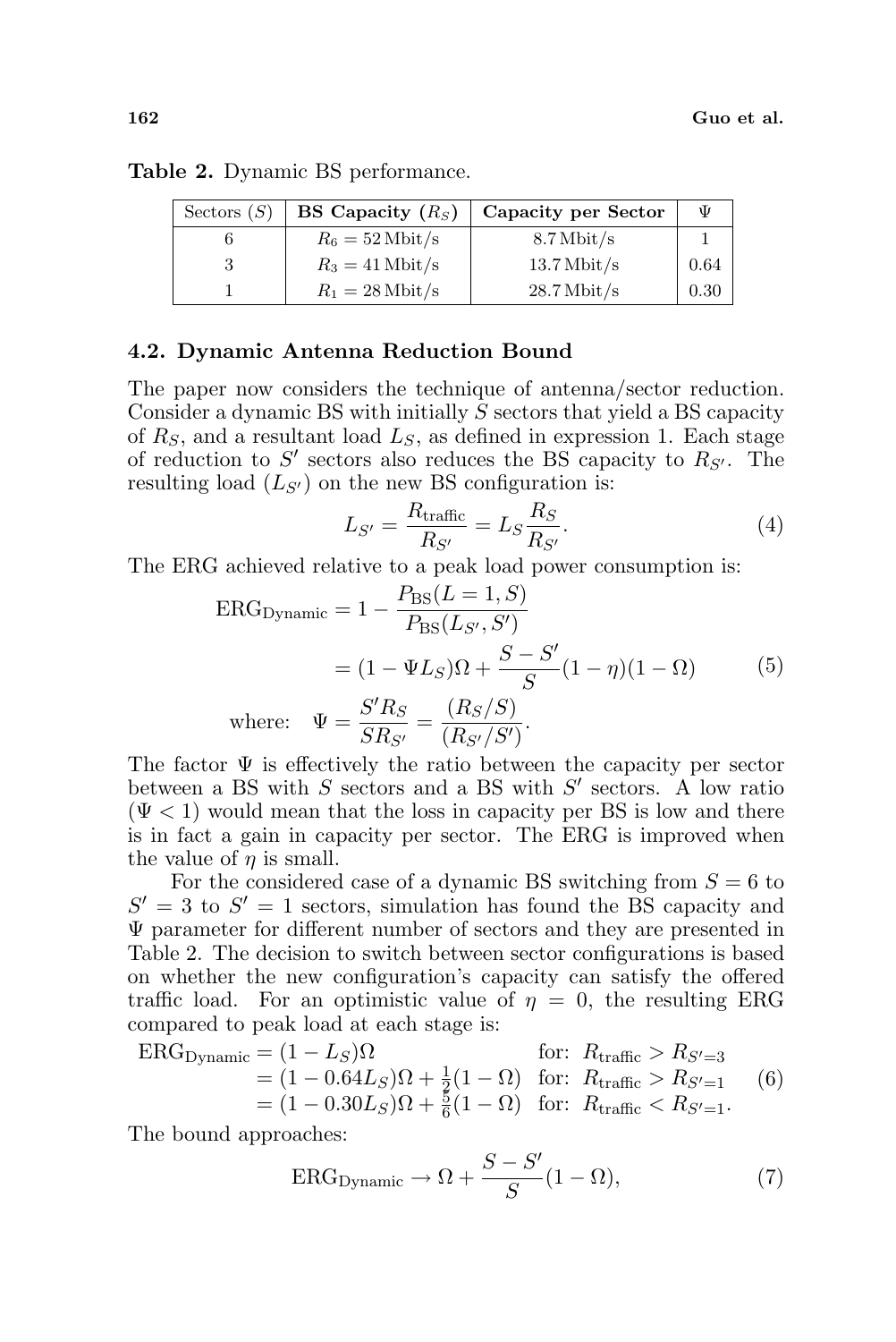| Sectors $(S)$ | BS Capacity $(R_S)$       | Capacity per Sector | Ψ    |
|---------------|---------------------------|---------------------|------|
|               | $R_6 = 52 \text{ Mbit/s}$ | $8.7$ Mbit/s        |      |
|               | $R_3 = 41$ Mbit/s         | $13.7$ Mbit/s       | 0.64 |
|               | $R_1 = 28$ Mbit/s         | $28.7$ Mbit/s       | 0.30 |

Table 2. Dynamic BS performance.

#### 4.2. Dynamic Antenna Reduction Bound

The paper now considers the technique of antenna/sector reduction. Consider a dynamic BS with initially S sectors that yield a BS capacity of  $R<sub>S</sub>$ , and a resultant load  $L<sub>S</sub>$ , as defined in expression 1. Each stage of reduction to S' sectors also reduces the BS capacity to  $R_{S'}$ . The resulting load  $(L_{S})$  on the new BS configuration is:

$$
L_{S'} = \frac{R_{\text{traffic}}}{R_{S'}} = L_S \frac{R_S}{R_{S'}}.\tag{4}
$$

The ERG achieved relative to a peak load power consumption is:

$$
ERG_{Dynamic} = 1 - \frac{P_{BS}(L=1, S)}{P_{BS}(L_{S'}, S')}
$$
  
=  $(1 - \Psi L_S)\Omega + \frac{S - S'}{S}(1 - \eta)(1 - \Omega)$  (5)  
where:  $\Psi = \frac{S'R_S}{SR_{S'}} = \frac{(R_S/S)}{(R_{S'}/S')}.$ 

The factor  $\Psi$  is effectively the ratio between the capacity per sector between a BS with  $S$  sectors and a BS with  $S'$  sectors. A low ratio  $(\Psi < 1)$  would mean that the loss in capacity per BS is low and there is in fact a gain in capacity per sector. The ERG is improved when the value of  $\eta$  is small.

For the considered case of a dynamic BS switching from  $S = 6$  to  $S' = 3$  to  $S' = 1$  sectors, simulation has found the BS capacity and Ψ parameter for different number of sectors and they are presented in Table 2. The decision to switch between sector configurations is based on whether the new configuration's capacity can satisfy the offered traffic load. For an optimistic value of  $\eta = 0$ , the resulting ERG compared to peak load at each stage is:

$$
\begin{aligned} \text{ERG}_{\text{Dynamic}} &= (1 - L_S)\Omega & \text{for:} \ R_{\text{traffic}} > R_{S'=3} \\ &= (1 - 0.64L_S)\Omega + \frac{1}{2}(1 - \Omega) & \text{for:} \ R_{\text{traffic}} > R_{S'=1} \\ &= (1 - 0.30L_S)\Omega + \frac{5}{6}(1 - \Omega) & \text{for:} \ R_{\text{traffic}} < R_{S'=1}. \end{aligned} \tag{6}
$$

The bound approaches:

$$
ERG_{Dynamic} \to \Omega + \frac{S - S'}{S} (1 - \Omega), \tag{7}
$$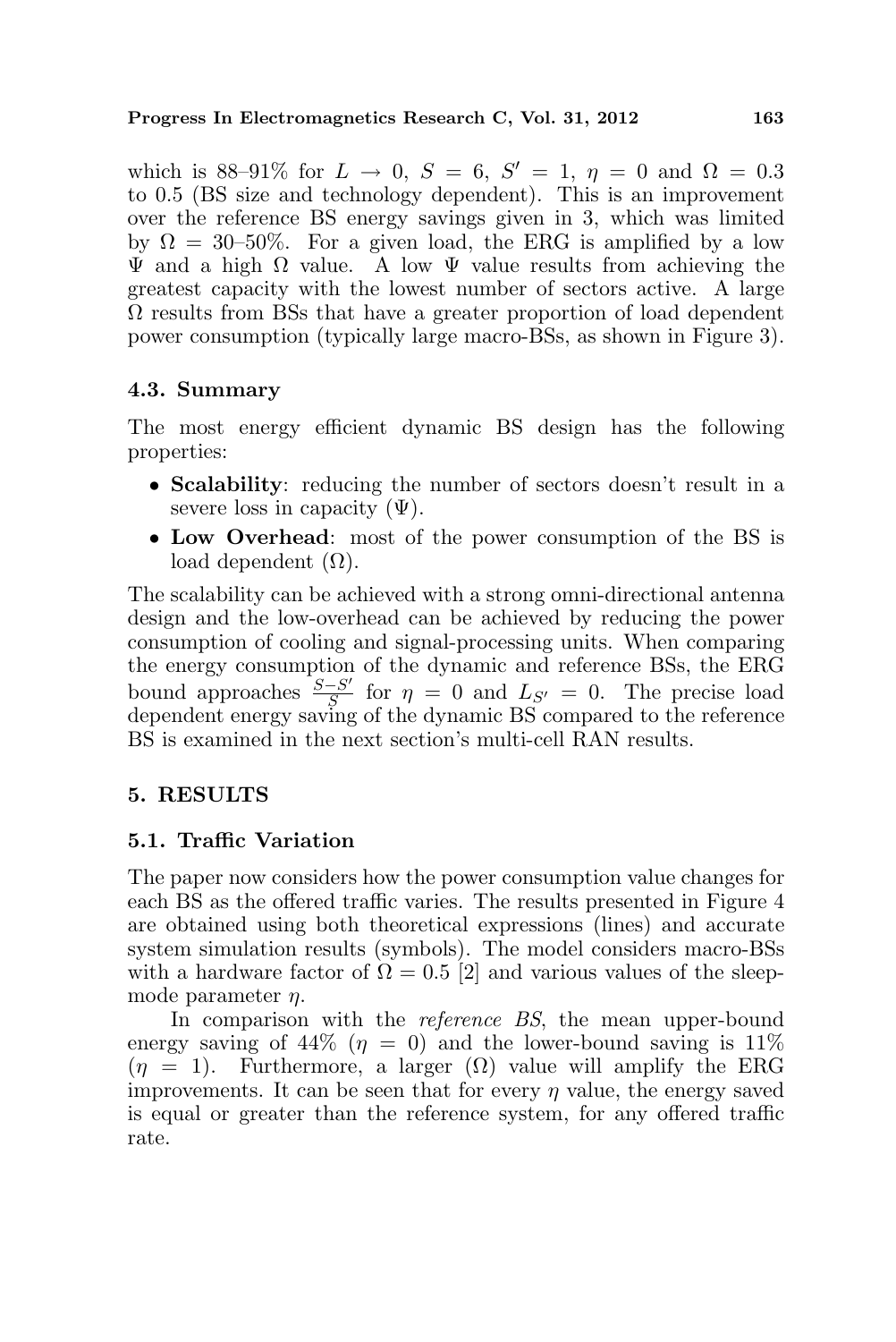#### Progress In Electromagnetics Research C, Vol. 31, 2012 163

which is 88–91% for  $L \rightarrow 0$ ,  $S = 6$ ,  $S' = 1$ ,  $\eta = 0$  and  $\Omega = 0.3$ to 0.5 (BS size and technology dependent). This is an improvement over the reference BS energy savings given in 3, which was limited by  $\Omega = 30{\text -}50\%$ . For a given load, the ERG is amplified by a low Ψ and a high Ω value. A low Ψ value results from achieving the greatest capacity with the lowest number of sectors active. A large Ω results from BSs that have a greater proportion of load dependent power consumption (typically large macro-BSs, as shown in Figure 3).

## 4.3. Summary

The most energy efficient dynamic BS design has the following properties:

- Scalability: reducing the number of sectors doesn't result in a severe loss in capacity  $(\Psi)$ .
- Low Overhead: most of the power consumption of the BS is load dependent  $(\Omega)$ .

The scalability can be achieved with a strong omni-directional antenna design and the low-overhead can be achieved by reducing the power consumption of cooling and signal-processing units. When comparing the energy consumption of the dynamic and reference BSs, the ERG bound approaches  $\frac{S-S'}{S}$  for  $\eta = 0$  and  $L_{S'} = 0$ . The precise load bound approaches  $\frac{1}{s}$  for  $\eta = 0$  and  $E_{S'} = 0$ . The precise load dependent energy saving of the dynamic BS compared to the reference BS is examined in the next section's multi-cell RAN results.

## 5. RESULTS

## 5.1. Traffic Variation

The paper now considers how the power consumption value changes for each BS as the offered traffic varies. The results presented in Figure 4 are obtained using both theoretical expressions (lines) and accurate system simulation results (symbols). The model considers macro-BSs with a hardware factor of  $\Omega = 0.5$  [2] and various values of the sleepmode parameter  $\eta$ .

In comparison with the *reference BS*, the mean upper-bound energy saving of 44\%  $(\eta = 0)$  and the lower-bound saving is 11\%  $(\eta = 1)$ . Furthermore, a larger  $(\Omega)$  value will amplify the ERG improvements. It can be seen that for every  $\eta$  value, the energy saved is equal or greater than the reference system, for any offered traffic rate.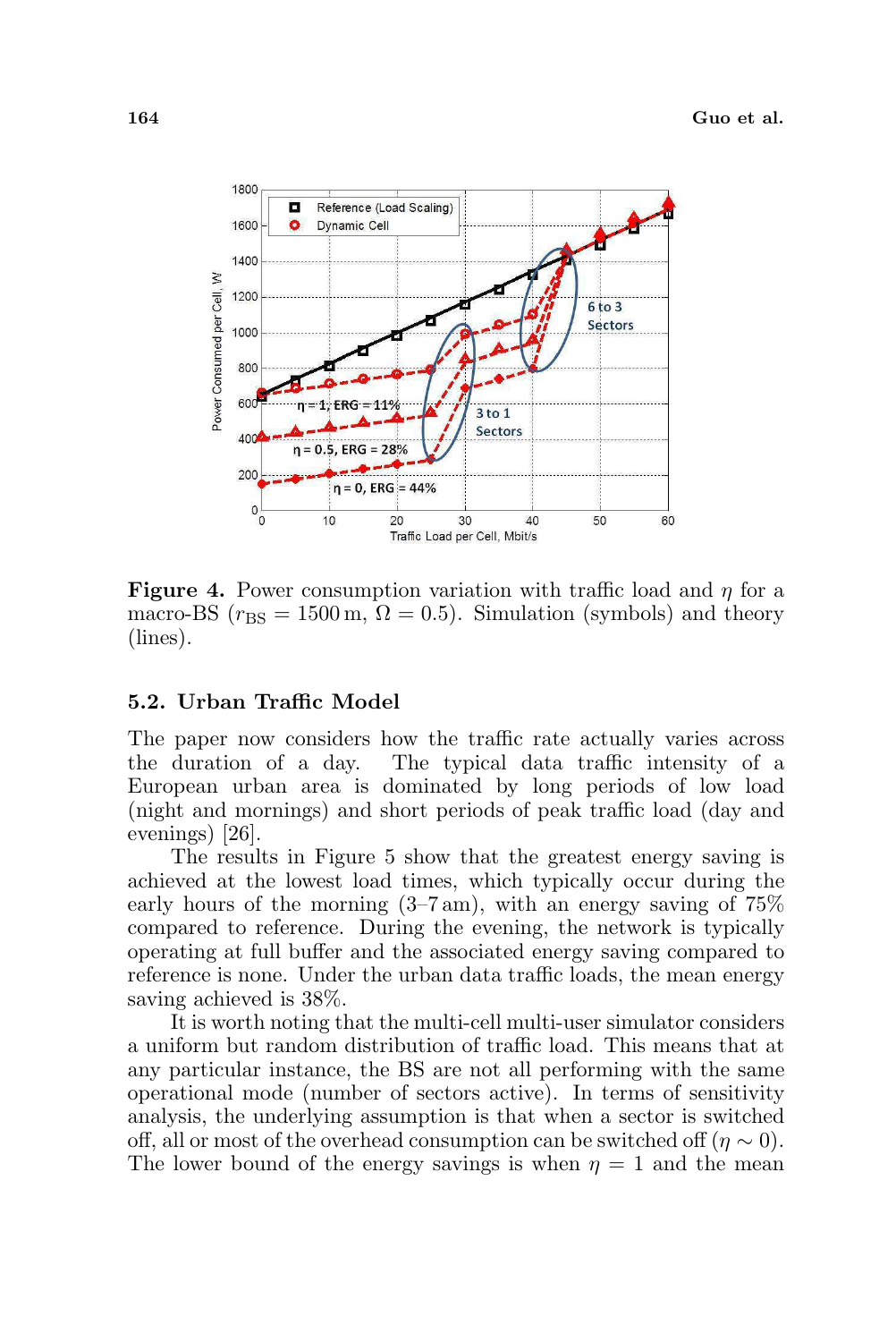

**Figure 4.** Power consumption variation with traffic load and  $\eta$  for a macro-BS ( $r_{\rm BS} = 1500 \,\rm m$ ,  $\Omega = 0.5$ ). Simulation (symbols) and theory (lines).

### 5.2. Urban Traffic Model

The paper now considers how the traffic rate actually varies across the duration of a day. The typical data traffic intensity of a European urban area is dominated by long periods of low load (night and mornings) and short periods of peak traffic load (day and evenings) [26].

The results in Figure 5 show that the greatest energy saving is achieved at the lowest load times, which typically occur during the early hours of the morning  $(3-7 \text{ am})$ , with an energy saving of  $75\%$ compared to reference. During the evening, the network is typically operating at full buffer and the associated energy saving compared to reference is none. Under the urban data traffic loads, the mean energy saving achieved is 38%.

It is worth noting that the multi-cell multi-user simulator considers a uniform but random distribution of traffic load. This means that at any particular instance, the BS are not all performing with the same operational mode (number of sectors active). In terms of sensitivity analysis, the underlying assumption is that when a sector is switched off, all or most of the overhead consumption can be switched off  $(η ~ ∪ ~ 0)$ . The lower bound of the energy savings is when  $\eta = 1$  and the mean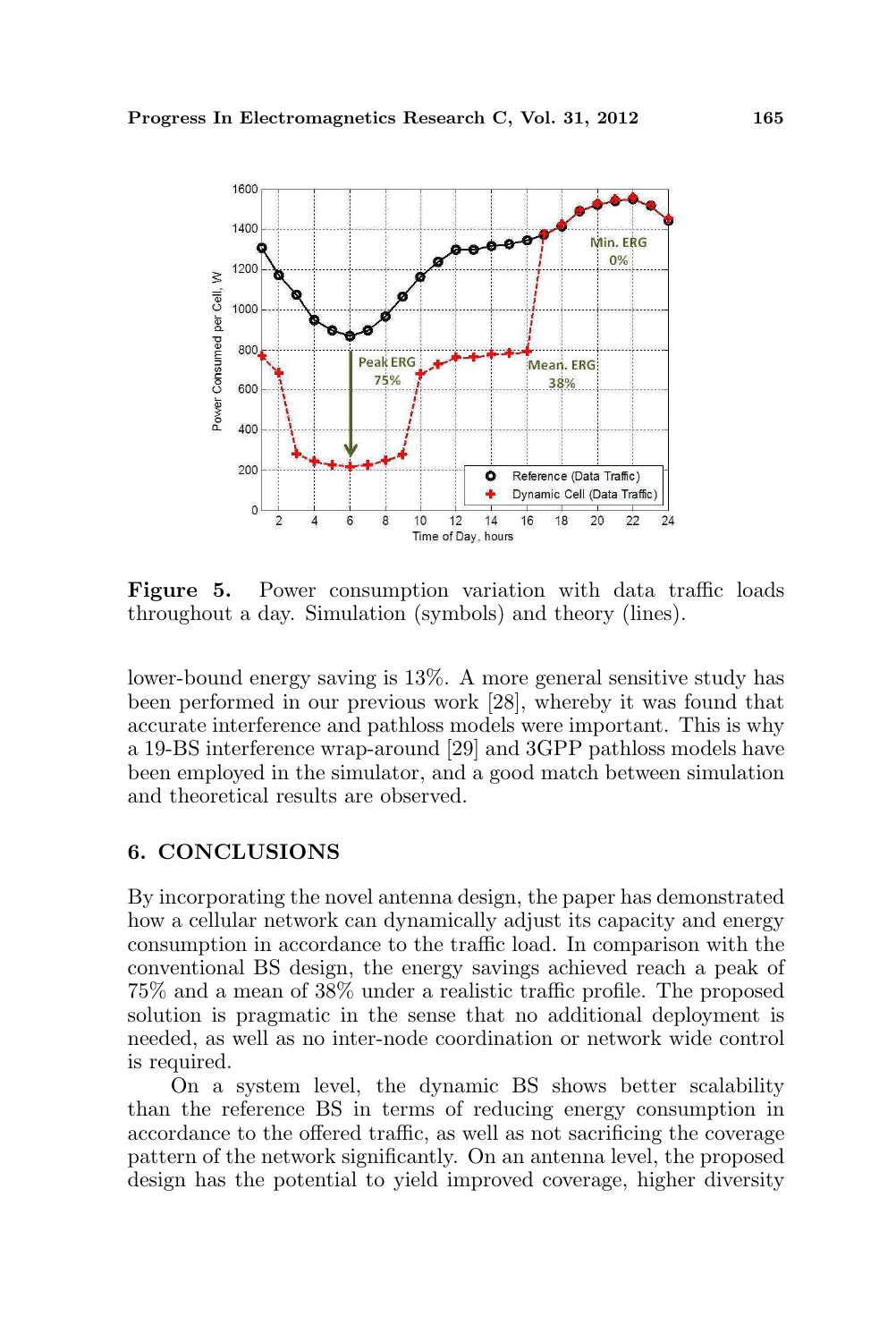

Figure 5. Power consumption variation with data traffic loads throughout a day. Simulation (symbols) and theory (lines).

lower-bound energy saving is 13%. A more general sensitive study has been performed in our previous work [28], whereby it was found that accurate interference and pathloss models were important. This is why a 19-BS interference wrap-around [29] and 3GPP pathloss models have been employed in the simulator, and a good match between simulation and theoretical results are observed.

#### 6. CONCLUSIONS

By incorporating the novel antenna design, the paper has demonstrated how a cellular network can dynamically adjust its capacity and energy consumption in accordance to the traffic load. In comparison with the conventional BS design, the energy savings achieved reach a peak of 75% and a mean of 38% under a realistic traffic profile. The proposed solution is pragmatic in the sense that no additional deployment is needed, as well as no inter-node coordination or network wide control is required.

On a system level, the dynamic BS shows better scalability than the reference BS in terms of reducing energy consumption in accordance to the offered traffic, as well as not sacrificing the coverage pattern of the network significantly. On an antenna level, the proposed design has the potential to yield improved coverage, higher diversity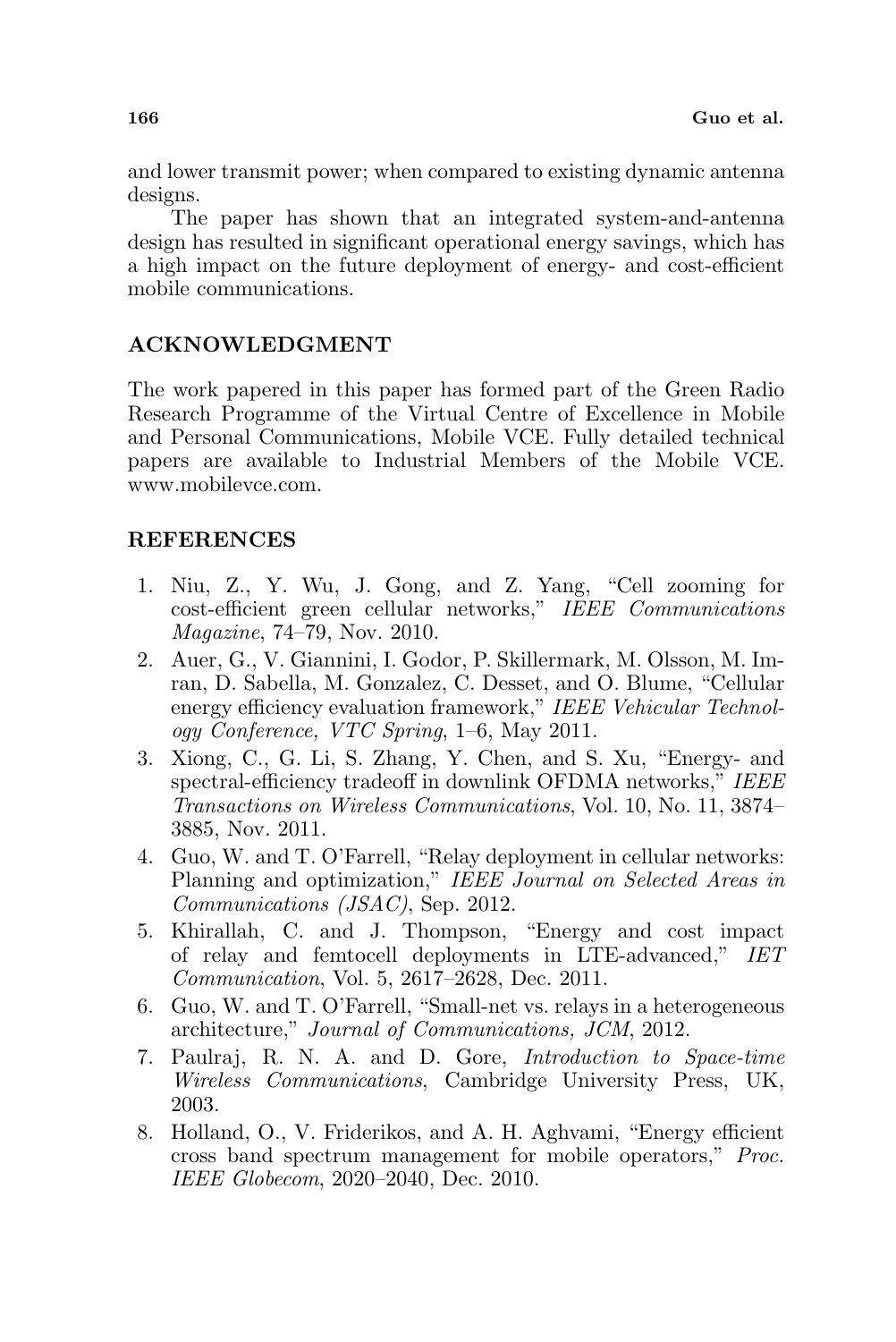and lower transmit power; when compared to existing dynamic antenna designs.

The paper has shown that an integrated system-and-antenna design has resulted in significant operational energy savings, which has a high impact on the future deployment of energy- and cost-efficient mobile communications.

## ACKNOWLEDGMENT

The work papered in this paper has formed part of the Green Radio Research Programme of the Virtual Centre of Excellence in Mobile and Personal Communications, Mobile VCE. Fully detailed technical papers are available to Industrial Members of the Mobile VCE. www.mobilevce.com.

## REFERENCES

- 1. Niu, Z., Y. Wu, J. Gong, and Z. Yang, "Cell zooming for cost-efficient green cellular networks," IEEE Communications Magazine, 74–79, Nov. 2010.
- 2. Auer, G., V. Giannini, I. Godor, P. Skillermark, M. Olsson, M. Imran, D. Sabella, M. Gonzalez, C. Desset, and O. Blume, "Cellular energy efficiency evaluation framework," IEEE Vehicular Technology Conference, VTC Spring, 1–6, May 2011.
- 3. Xiong, C., G. Li, S. Zhang, Y. Chen, and S. Xu, "Energy- and spectral-efficiency tradeoff in downlink OFDMA networks," IEEE Transactions on Wireless Communications, Vol. 10, No. 11, 3874– 3885, Nov. 2011.
- 4. Guo, W. and T. O'Farrell, "Relay deployment in cellular networks: Planning and optimization," IEEE Journal on Selected Areas in Communications (JSAC), Sep. 2012.
- 5. Khirallah, C. and J. Thompson, "Energy and cost impact of relay and femtocell deployments in LTE-advanced," IET Communication, Vol. 5, 2617–2628, Dec. 2011.
- 6. Guo, W. and T. O'Farrell, "Small-net vs. relays in a heterogeneous architecture," Journal of Communications, JCM, 2012.
- 7. Paulraj, R. N. A. and D. Gore, Introduction to Space-time Wireless Communications, Cambridge University Press, UK, 2003.
- 8. Holland, O., V. Friderikos, and A. H. Aghvami, "Energy efficient cross band spectrum management for mobile operators," Proc. IEEE Globecom, 2020–2040, Dec. 2010.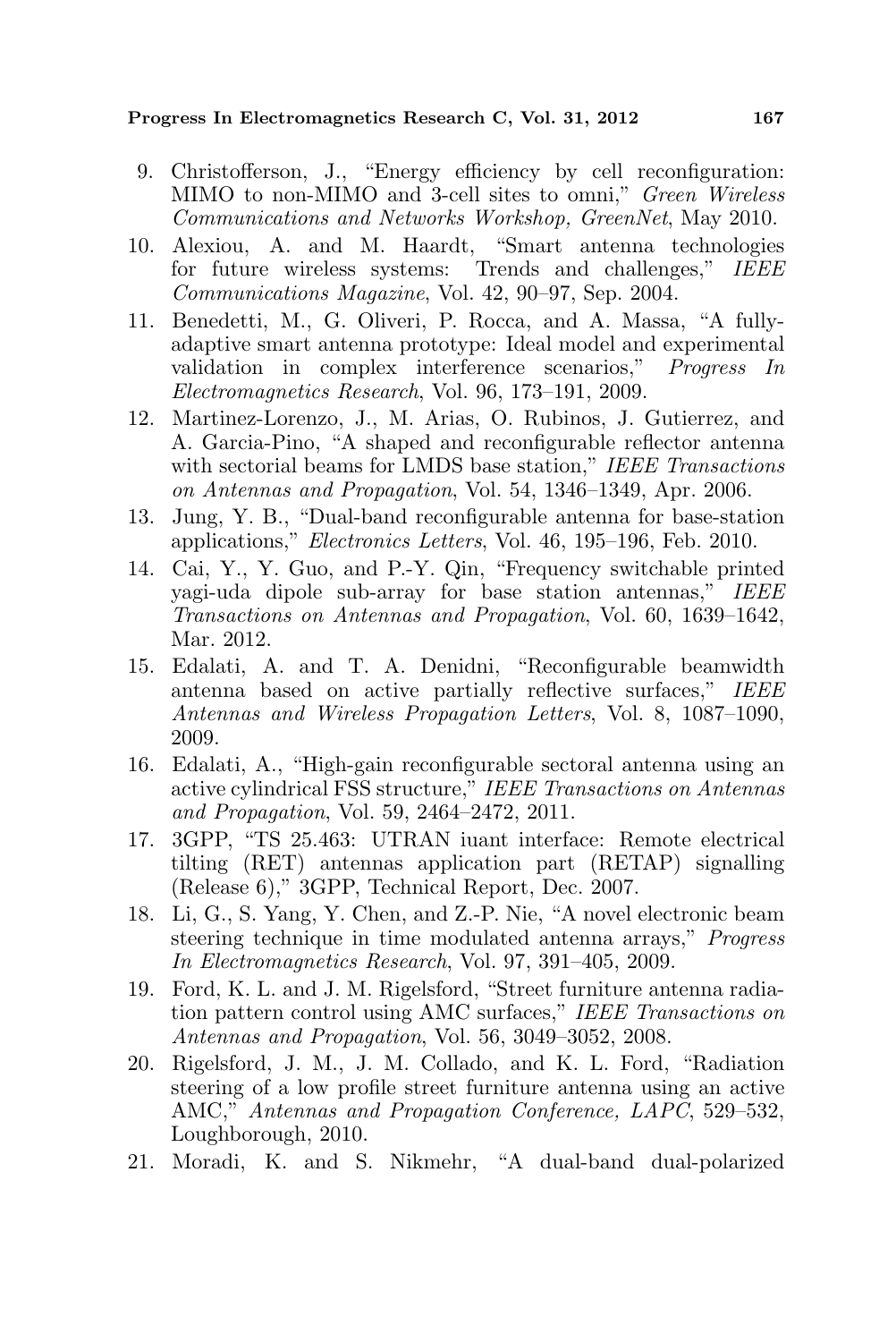Progress In Electromagnetics Research C, Vol. 31, 2012 167

- 9. Christofferson, J., "Energy efficiency by cell reconfiguration: MIMO to non-MIMO and 3-cell sites to omni," Green Wireless Communications and Networks Workshop, GreenNet, May 2010.
- 10. Alexiou, A. and M. Haardt, "Smart antenna technologies for future wireless systems: Trends and challenges," IEEE Communications Magazine, Vol. 42, 90–97, Sep. 2004.
- 11. Benedetti, M., G. Oliveri, P. Rocca, and A. Massa, "A fullyadaptive smart antenna prototype: Ideal model and experimental validation in complex interference scenarios," Progress In Electromagnetics Research, Vol. 96, 173–191, 2009.
- 12. Martinez-Lorenzo, J., M. Arias, O. Rubinos, J. Gutierrez, and A. Garcia-Pino, "A shaped and reconfigurable reflector antenna with sectorial beams for LMDS base station," IEEE Transactions on Antennas and Propagation, Vol. 54, 1346–1349, Apr. 2006.
- 13. Jung, Y. B., "Dual-band reconfigurable antenna for base-station applications," Electronics Letters, Vol. 46, 195–196, Feb. 2010.
- 14. Cai, Y., Y. Guo, and P.-Y. Qin, "Frequency switchable printed yagi-uda dipole sub-array for base station antennas," IEEE Transactions on Antennas and Propagation, Vol. 60, 1639–1642, Mar. 2012.
- 15. Edalati, A. and T. A. Denidni, "Reconfigurable beamwidth antenna based on active partially reflective surfaces," IEEE Antennas and Wireless Propagation Letters, Vol. 8, 1087–1090, 2009.
- 16. Edalati, A., "High-gain reconfigurable sectoral antenna using an active cylindrical FSS structure," IEEE Transactions on Antennas and Propagation, Vol. 59, 2464–2472, 2011.
- 17. 3GPP, "TS 25.463: UTRAN iuant interface: Remote electrical tilting (RET) antennas application part (RETAP) signalling (Release 6)," 3GPP, Technical Report, Dec. 2007.
- 18. Li, G., S. Yang, Y. Chen, and Z.-P. Nie, "A novel electronic beam steering technique in time modulated antenna arrays," Progress In Electromagnetics Research, Vol. 97, 391–405, 2009.
- 19. Ford, K. L. and J. M. Rigelsford, "Street furniture antenna radiation pattern control using AMC surfaces," IEEE Transactions on Antennas and Propagation, Vol. 56, 3049–3052, 2008.
- 20. Rigelsford, J. M., J. M. Collado, and K. L. Ford, "Radiation steering of a low profile street furniture antenna using an active AMC," Antennas and Propagation Conference, LAPC, 529–532, Loughborough, 2010.
- 21. Moradi, K. and S. Nikmehr, "A dual-band dual-polarized